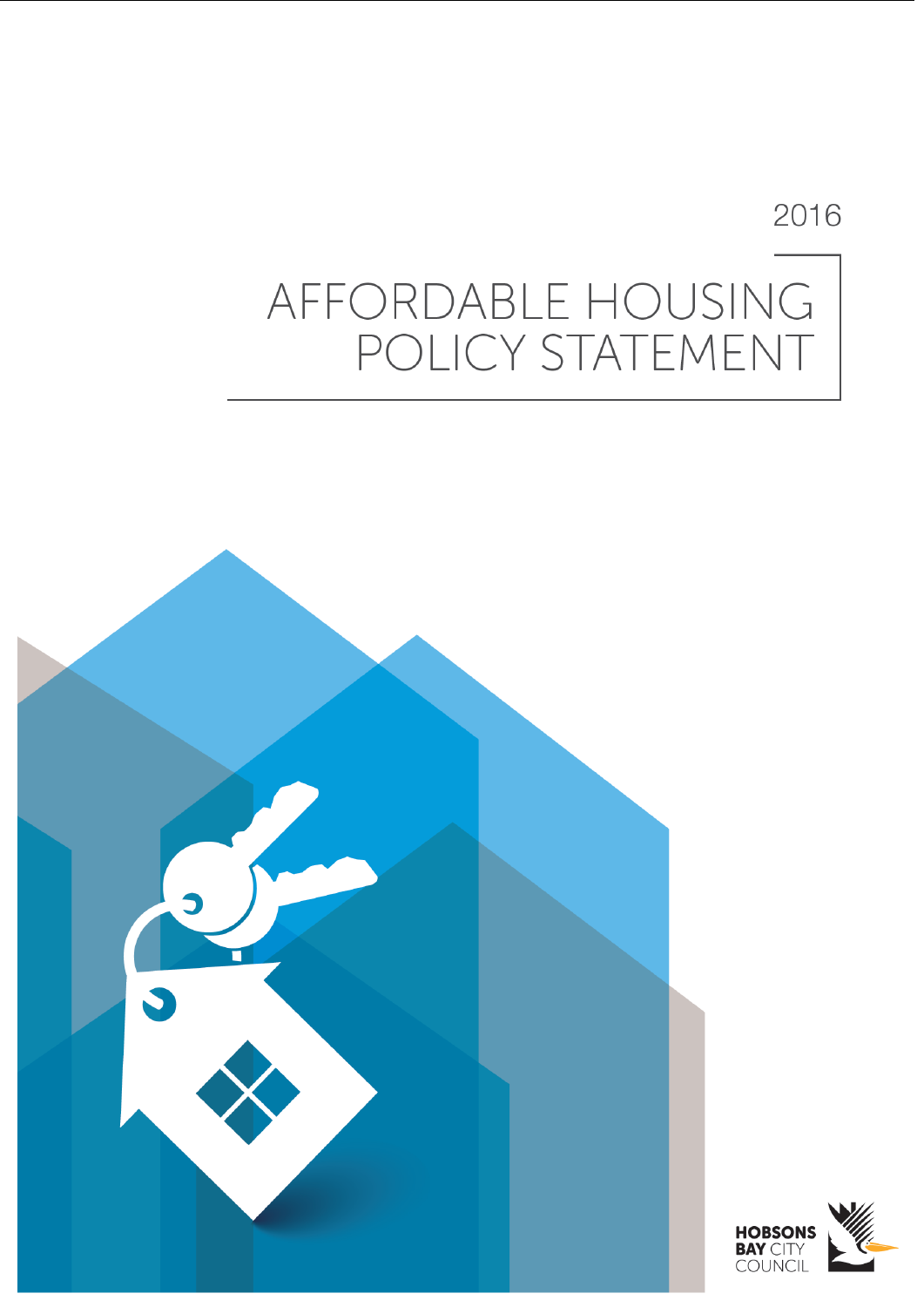## 2016

# AFFORDABLE HOUSING POLICY STATEMENT



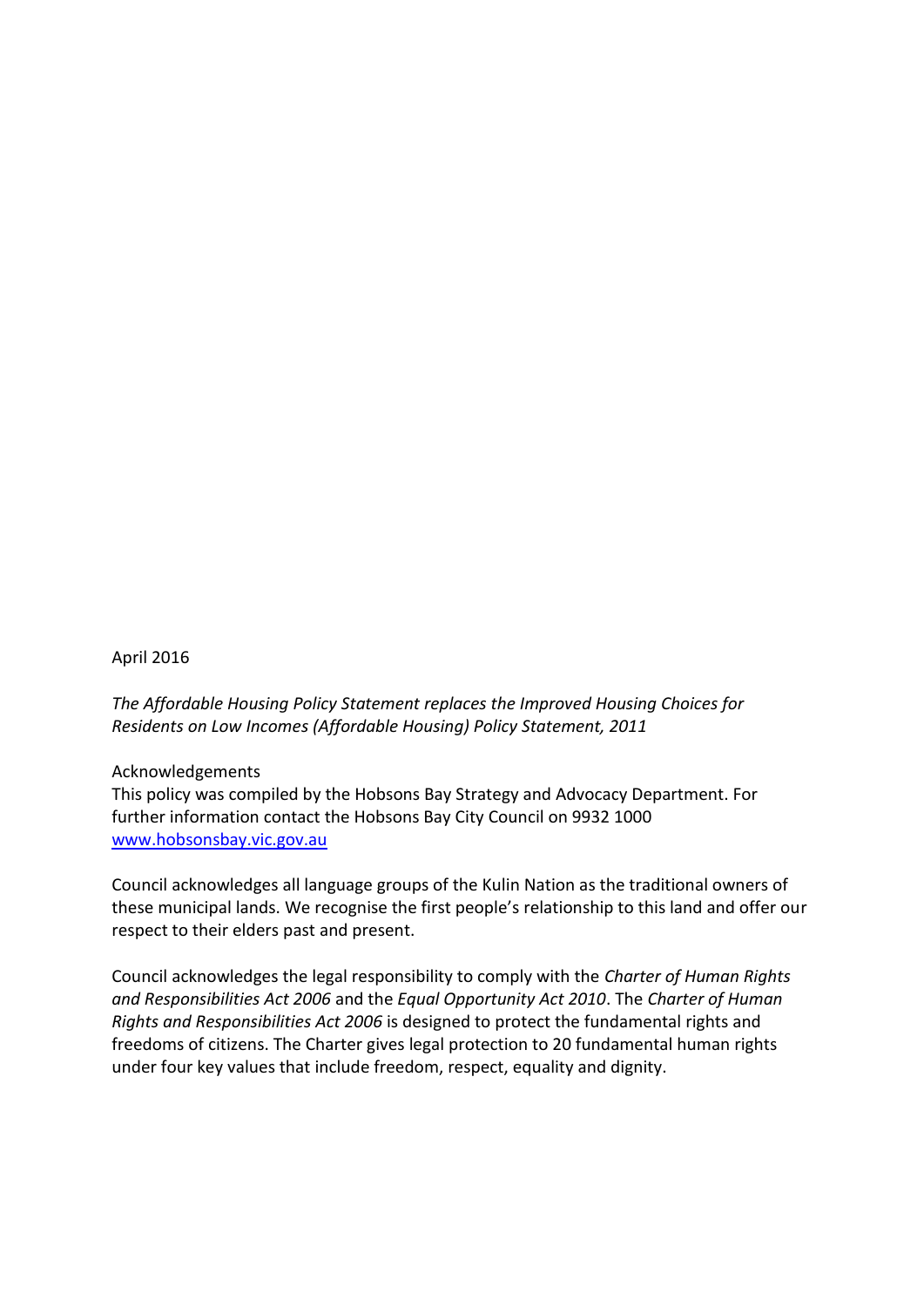#### April 2016

*The Affordable Housing Policy Statement replaces the Improved Housing Choices for Residents on Low Incomes (Affordable Housing) Policy Statement, 2011*

#### Acknowledgements

This policy was compiled by the Hobsons Bay Strategy and Advocacy Department. For further information contact the Hobsons Bay City Council on 9932 1000 [www.hobsonsbay.vic.gov.au](http://www.hobsonsbay.vic.gov.au/)

Council acknowledges all language groups of the Kulin Nation as the traditional owners of these municipal lands. We recognise the first people's relationship to this land and offer our respect to their elders past and present.

Council acknowledges the legal responsibility to comply with the *Charter of Human Rights and Responsibilities Act 2006* and the *Equal Opportunity Act 2010*. The *Charter of Human Rights and Responsibilities Act 2006* is designed to protect the fundamental rights and freedoms of citizens. The Charter gives legal protection to 20 fundamental human rights under four key values that include freedom, respect, equality and dignity.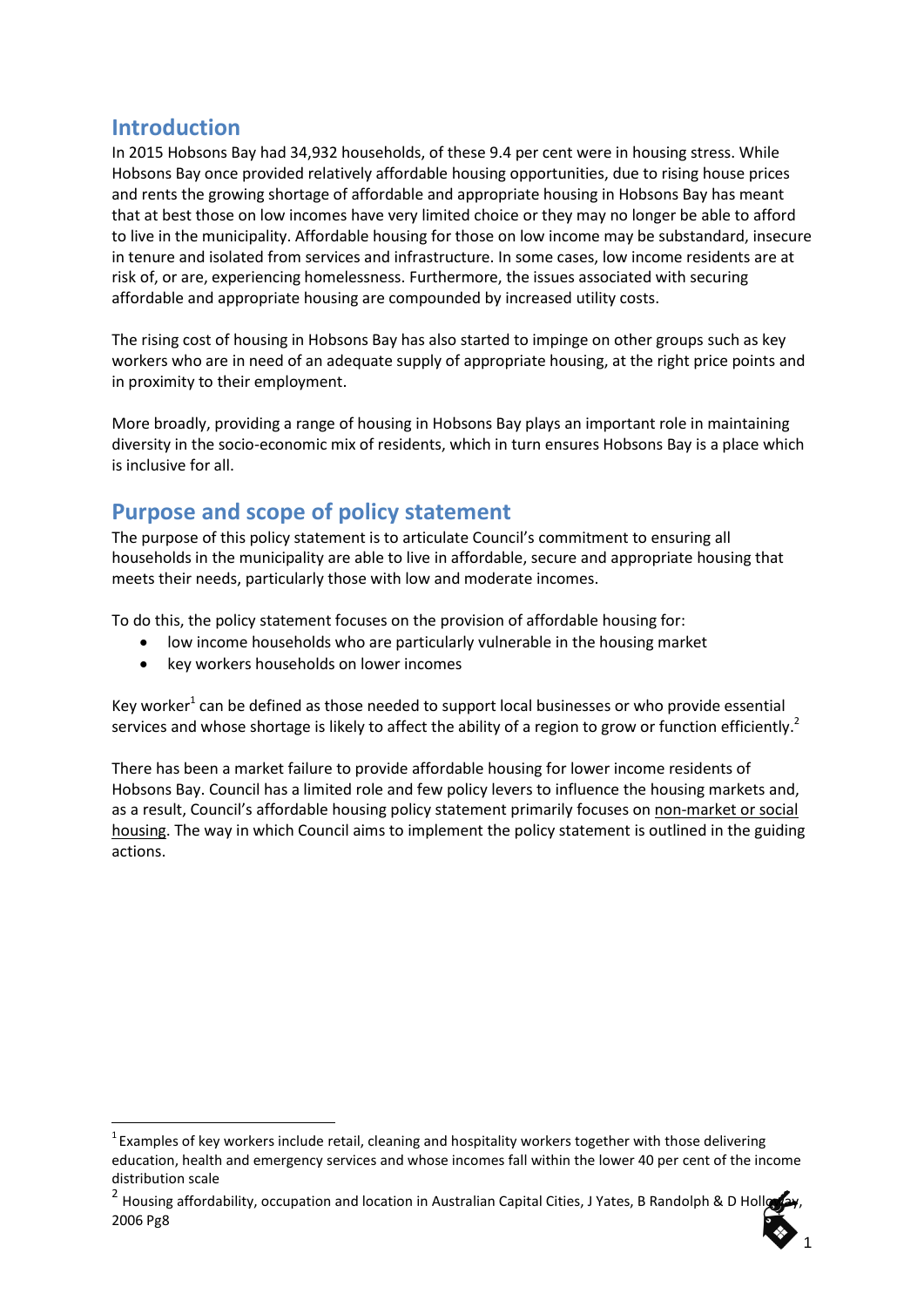## **Introduction**

-

In 2015 Hobsons Bay had 34,932 households, of these 9.4 per cent were in housing stress. While Hobsons Bay once provided relatively affordable housing opportunities, due to rising house prices and rents the growing shortage of affordable and appropriate housing in Hobsons Bay has meant that at best those on low incomes have very limited choice or they may no longer be able to afford to live in the municipality. Affordable housing for those on low income may be substandard, insecure in tenure and isolated from services and infrastructure. In some cases, low income residents are at risk of, or are, experiencing homelessness. Furthermore, the issues associated with securing affordable and appropriate housing are compounded by increased utility costs.

The rising cost of housing in Hobsons Bay has also started to impinge on other groups such as key workers who are in need of an adequate supply of appropriate housing, at the right price points and in proximity to their employment.

More broadly, providing a range of housing in Hobsons Bay plays an important role in maintaining diversity in the socio-economic mix of residents, which in turn ensures Hobsons Bay is a place which is inclusive for all.

## **Purpose and scope of policy statement**

The purpose of this policy statement is to articulate Council's commitment to ensuring all households in the municipality are able to live in affordable, secure and appropriate housing that meets their needs, particularly those with low and moderate incomes.

To do this, the policy statement focuses on the provision of affordable housing for:

- low income households who are particularly vulnerable in the housing market
- key workers households on lower incomes

Key worker<sup>1</sup> can be defined as those needed to support local businesses or who provide essential services and whose shortage is likely to affect the ability of a region to grow or function efficiently.<sup>2</sup>

There has been a market failure to provide affordable housing for lower income residents of Hobsons Bay. Council has a limited role and few policy levers to influence the housing markets and, as a result, Council's affordable housing policy statement primarily focuses on non-market or social housing. The way in which Council aims to implement the policy statement is outlined in the guiding actions.

 $1$  Examples of key workers include retail, cleaning and hospitality workers together with those delivering education, health and emergency services and whose incomes fall within the lower 40 per cent of the income distribution scale

<sup>&</sup>lt;sup>2</sup> Housing affordability, occupation and location in Australian Capital Cities, J Yates, B Randolph & D Holloway, 2006 Pg8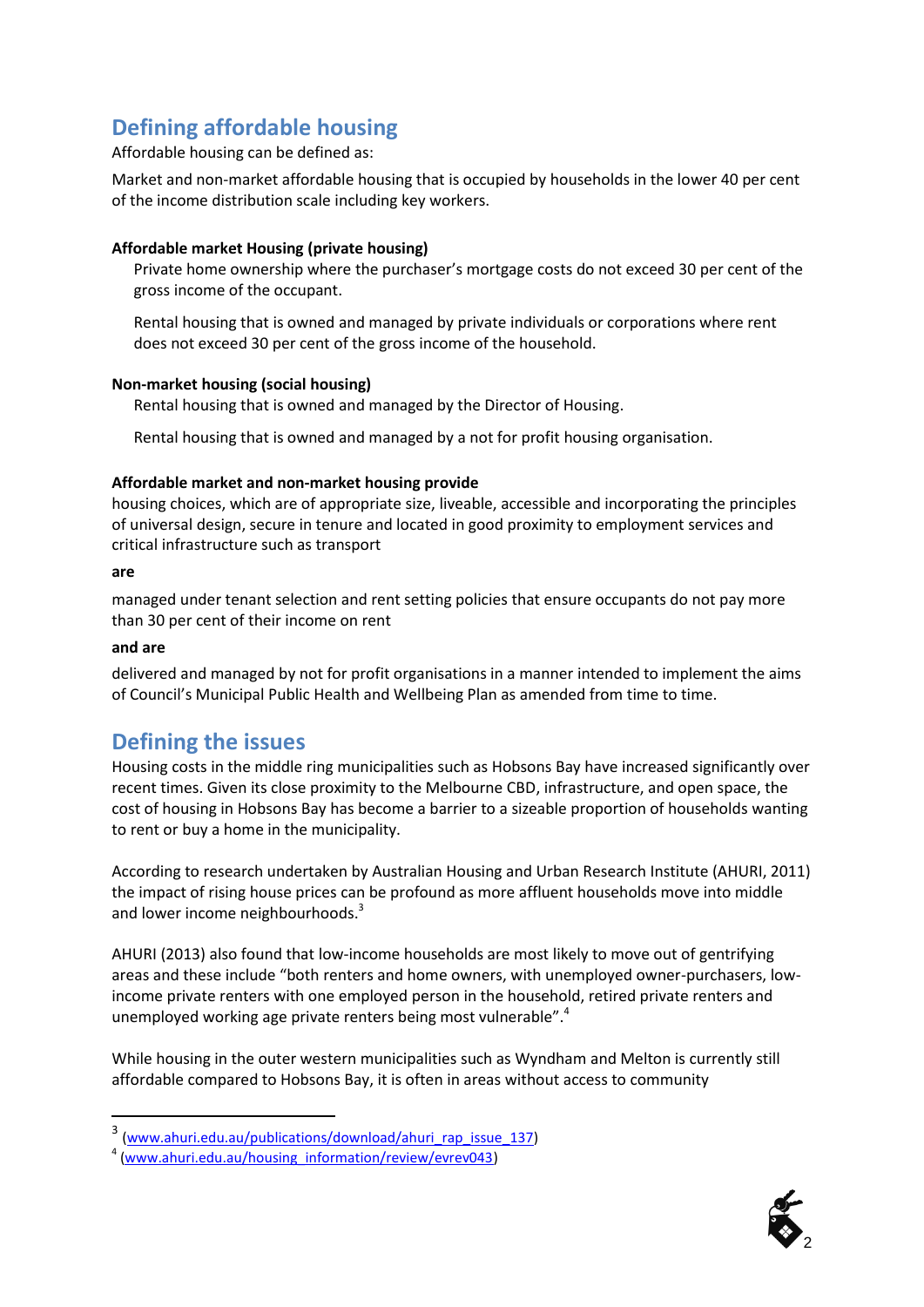## **Defining affordable housing**

#### Affordable housing can be defined as:

Market and non-market affordable housing that is occupied by households in the lower 40 per cent of the income distribution scale including key workers.

#### **Affordable market Housing (private housing)**

Private home ownership where the purchaser's mortgage costs do not exceed 30 per cent of the gross income of the occupant.

Rental housing that is owned and managed by private individuals or corporations where rent does not exceed 30 per cent of the gross income of the household.

#### **Non-market housing (social housing)**

Rental housing that is owned and managed by the Director of Housing.

Rental housing that is owned and managed by a not for profit housing organisation.

#### **Affordable market and non-market housing provide**

housing choices, which are of appropriate size, liveable, accessible and incorporating the principles of universal design, secure in tenure and located in good proximity to employment services and critical infrastructure such as transport

#### **are**

managed under tenant selection and rent setting policies that ensure occupants do not pay more than 30 per cent of their income on rent

#### **and are**

-

delivered and managed by not for profit organisations in a manner intended to implement the aims of Council's Municipal Public Health and Wellbeing Plan as amended from time to time.

## **Defining the issues**

Housing costs in the middle ring municipalities such as Hobsons Bay have increased significantly over recent times. Given its close proximity to the Melbourne CBD, infrastructure, and open space, the cost of housing in Hobsons Bay has become a barrier to a sizeable proportion of households wanting to rent or buy a home in the municipality.

According to research undertaken by Australian Housing and Urban Research Institute (AHURI, 2011) the impact of rising house prices can be profound as more affluent households move into middle and lower income neighbourhoods.<sup>3</sup>

AHURI (2013) also found that low-income households are most likely to move out of gentrifying areas and these include "both renters and home owners, with unemployed owner-purchasers, lowincome private renters with one employed person in the household, retired private renters and unemployed working age private renters being most vulnerable".<sup>4</sup>

While housing in the outer western municipalities such as Wyndham and Melton is currently still affordable compared to Hobsons Bay, it is often in areas without access to community



<sup>&</sup>lt;sup>3</sup> [\(www.ahuri.edu.au/publications/download/ahuri\\_rap\\_issue\\_137\)](http://www.ahuri.edu.au/publications/download/ahuri_rap_issue_137)

<sup>&</sup>lt;sup>4</sup> [\(www.ahuri.edu.au/housing\\_information/review/evrev043\)](http://www.ahuri.edu.au/housing_information/review/evrev043)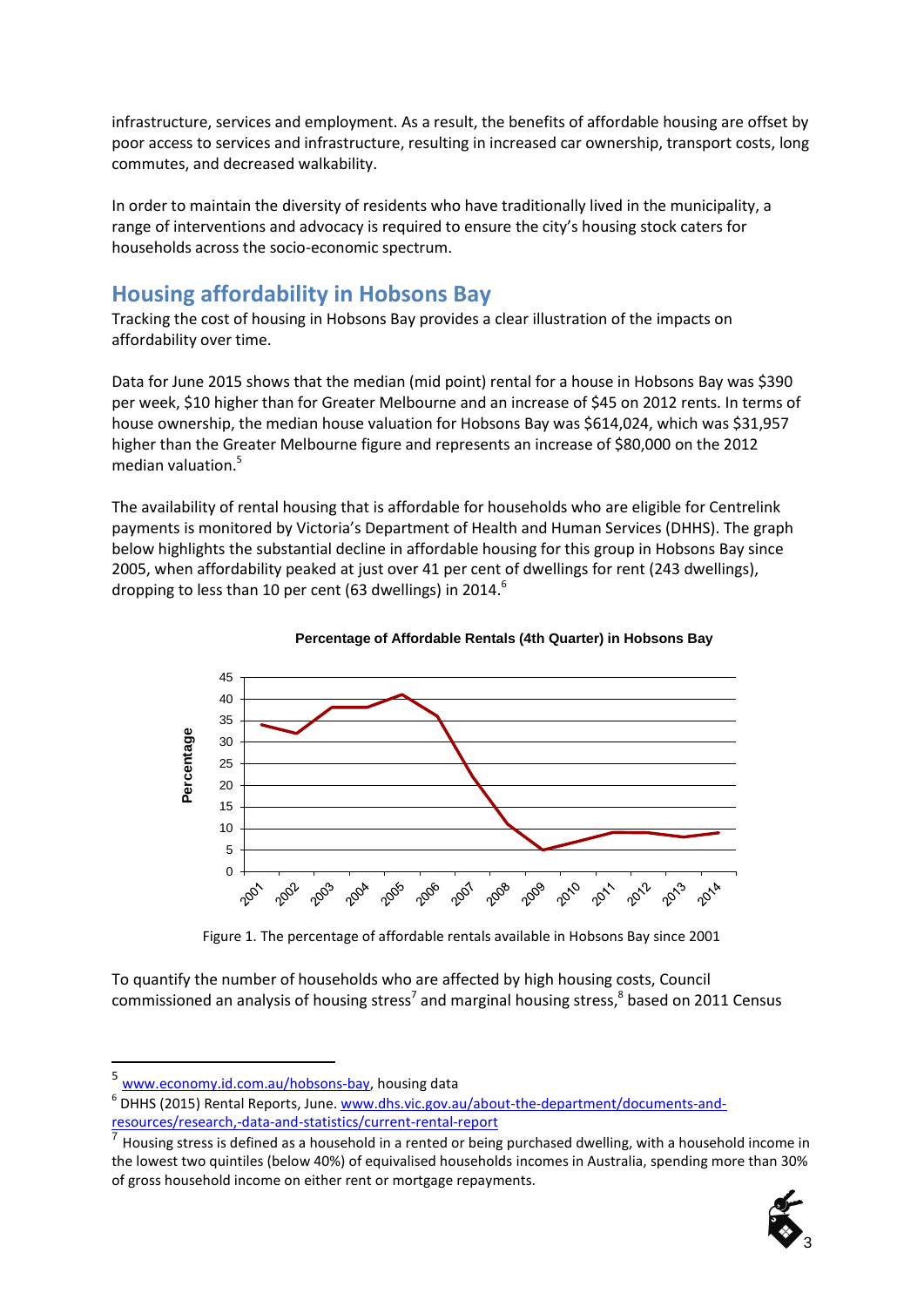infrastructure, services and employment. As a result, the benefits of affordable housing are offset by poor access to services and infrastructure, resulting in increased car ownership, transport costs, long commutes, and decreased walkability.

In order to maintain the diversity of residents who have traditionally lived in the municipality, a range of interventions and advocacy is required to ensure the city's housing stock caters for households across the socio-economic spectrum.

## **Housing affordability in Hobsons Bay**

Tracking the cost of housing in Hobsons Bay provides a clear illustration of the impacts on affordability over time.

Data for June 2015 shows that the median (mid point) rental for a house in Hobsons Bay was \$390 per week, \$10 higher than for Greater Melbourne and an increase of \$45 on 2012 rents. In terms of house ownership, the median house valuation for Hobsons Bay was \$614,024, which was \$31,957 higher than the Greater Melbourne figure and represents an increase of \$80,000 on the 2012 median valuation.<sup>5</sup>

The availability of rental housing that is affordable for households who are eligible for Centrelink payments is monitored by Victoria's Department of Health and Human Services (DHHS). The graph below highlights the substantial decline in affordable housing for this group in Hobsons Bay since 2005, when affordability peaked at just over 41 per cent of dwellings for rent (243 dwellings), dropping to less than 10 per cent (63 dwellings) in 2014.<sup>6</sup>



#### **Percentage of Affordable Rentals (4th Quarter) in Hobsons Bay**

Figure 1. The percentage of affordable rentals available in Hobsons Bay since 2001

To quantify the number of households who are affected by high housing costs, Council commissioned an analysis of housing stress<sup>7</sup> and marginal housing stress,<sup>8</sup> based on 2011 Census

-

Housing stress is defined as a household in a rented or being purchased dwelling, with a household income in the lowest two quintiles (below 40%) of equivalised households incomes in Australia, spending more than 30% of gross household income on either rent or mortgage repayments.



<sup>&</sup>lt;sup>5</sup> [www.economy.id.com.au/hobsons-bay,](http://www.economy.id.com.au/hobsons-bay) housing data

<sup>&</sup>lt;sup>6</sup> DHHS (2015) Rental Reports, June. [www.dhs.vic.gov.au/about-the-department/documents-and](http://www.dhs.vic.gov.au/about-the-department/documents-and-resources/research,-data-and-statistics/current-rental-report)[resources/research,-data-and-statistics/current-rental-report](http://www.dhs.vic.gov.au/about-the-department/documents-and-resources/research,-data-and-statistics/current-rental-report) 7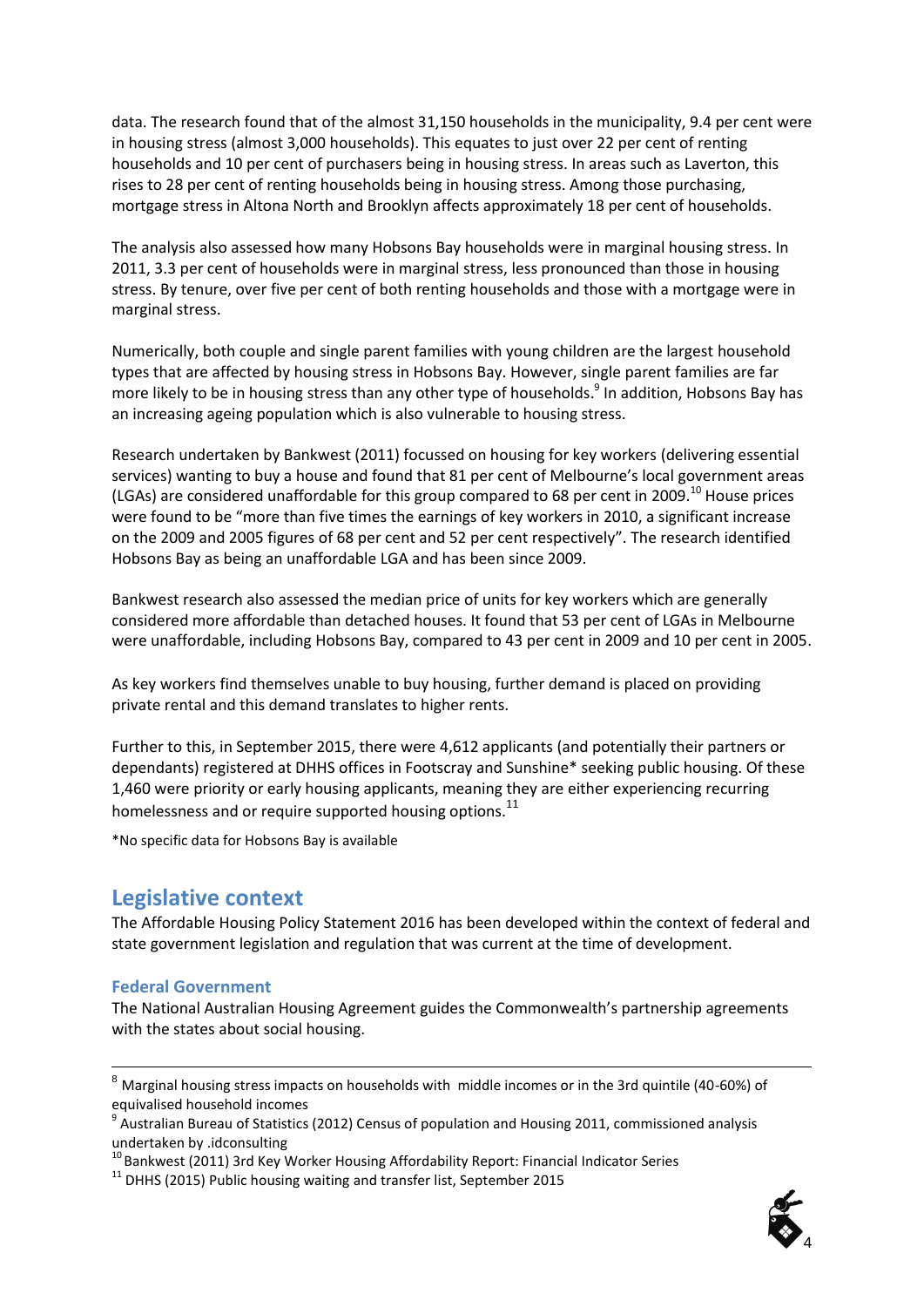data. The research found that of the almost 31,150 households in the municipality, 9.4 per cent were in housing stress (almost 3,000 households). This equates to just over 22 per cent of renting households and 10 per cent of purchasers being in housing stress. In areas such as Laverton, this rises to 28 per cent of renting households being in housing stress. Among those purchasing, mortgage stress in Altona North and Brooklyn affects approximately 18 per cent of households.

The analysis also assessed how many Hobsons Bay households were in marginal housing stress. In 2011, 3.3 per cent of households were in marginal stress, less pronounced than those in housing stress. By tenure, over five per cent of both renting households and those with a mortgage were in marginal stress.

Numerically, both couple and single parent families with young children are the largest household types that are affected by housing stress in Hobsons Bay. However, single parent families are far more likely to be in housing stress than any other type of households. 9 In addition, Hobsons Bay has an increasing ageing population which is also vulnerable to housing stress.

Research undertaken by Bankwest (2011) focussed on housing for key workers (delivering essential services) wanting to buy a house and found that 81 per cent of Melbourne's local government areas (LGAs) are considered unaffordable for this group compared to 68 per cent in 2009.<sup>10</sup> House prices were found to be "more than five times the earnings of key workers in 2010, a significant increase on the 2009 and 2005 figures of 68 per cent and 52 per cent respectively". The research identified Hobsons Bay as being an unaffordable LGA and has been since 2009.

Bankwest research also assessed the median price of units for key workers which are generally considered more affordable than detached houses. It found that 53 per cent of LGAs in Melbourne were unaffordable, including Hobsons Bay, compared to 43 per cent in 2009 and 10 per cent in 2005.

As key workers find themselves unable to buy housing, further demand is placed on providing private rental and this demand translates to higher rents.

Further to this, in September 2015, there were 4,612 applicants (and potentially their partners or dependants) registered at DHHS offices in Footscray and Sunshine\* seeking public housing. Of these 1,460 were priority or early housing applicants, meaning they are either experiencing recurring homelessness and or require supported housing options.<sup>11</sup>

\*No specific data for Hobsons Bay is available

## **Legislative context**

The Affordable Housing Policy Statement 2016 has been developed within the context of federal and state government legislation and regulation that was current at the time of development.

#### **Federal Government**

-

The National Australian Housing Agreement guides the Commonwealth's partnership agreements with the states about social housing.



 $^8$  Marginal housing stress impacts on households with middle incomes or in the 3rd quintile (40-60%) of

equivalised household incomes<br><sup>9</sup> Australian Bureau of Statistics (2012) Census of population and Housing 2011, commissioned analysis undertaken by .idconsulting

 $10$  Bankwest (2011) 3rd Key Worker Housing Affordability Report: Financial Indicator Series

 $11$  DHHS (2015) Public housing waiting and transfer list, September 2015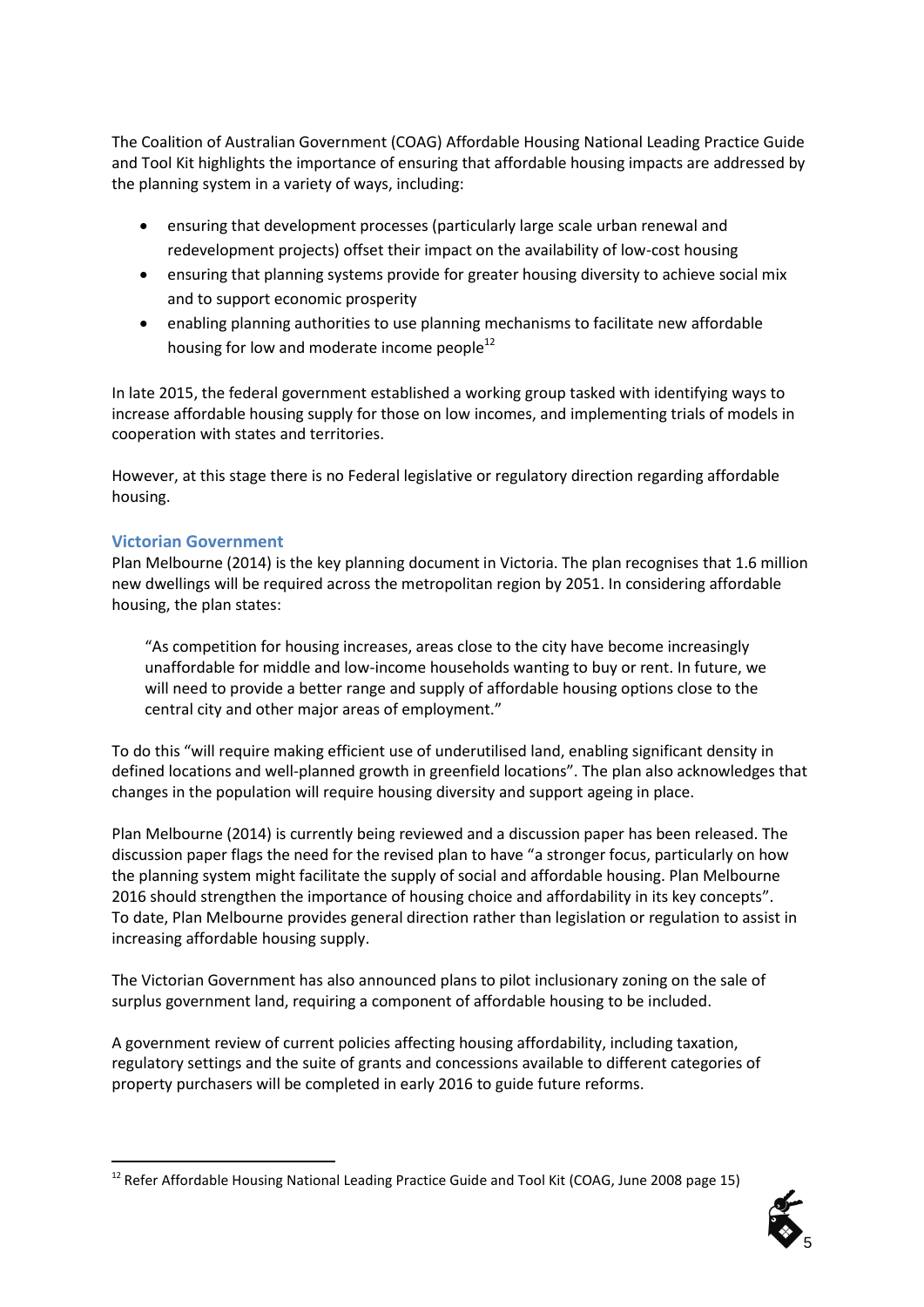The Coalition of Australian Government (COAG) Affordable Housing National Leading Practice Guide and Tool Kit highlights the importance of ensuring that affordable housing impacts are addressed by the planning system in a variety of ways, including:

- ensuring that development processes (particularly large scale urban renewal and redevelopment projects) offset their impact on the availability of low-cost housing
- ensuring that planning systems provide for greater housing diversity to achieve social mix and to support economic prosperity
- enabling planning authorities to use planning mechanisms to facilitate new affordable housing for low and moderate income people<sup>12</sup>

In late 2015, the federal government established a working group tasked with identifying ways to increase affordable housing supply for those on low incomes, and implementing trials of models in cooperation with states and territories.

However, at this stage there is no Federal legislative or regulatory direction regarding affordable housing.

#### **Victorian Government**

Plan Melbourne (2014) is the key planning document in Victoria. The plan recognises that 1.6 million new dwellings will be required across the metropolitan region by 2051. In considering affordable housing, the plan states:

"As competition for housing increases, areas close to the city have become increasingly unaffordable for middle and low-income households wanting to buy or rent. In future, we will need to provide a better range and supply of affordable housing options close to the central city and other major areas of employment."

To do this "will require making efficient use of underutilised land, enabling significant density in defined locations and well-planned growth in greenfield locations". The plan also acknowledges that changes in the population will require housing diversity and support ageing in place.

Plan Melbourne (2014) is currently being reviewed and a discussion paper has been released. The discussion paper flags the need for the revised plan to have "a stronger focus, particularly on how the planning system might facilitate the supply of social and affordable housing. Plan Melbourne 2016 should strengthen the importance of housing choice and affordability in its key concepts". To date, Plan Melbourne provides general direction rather than legislation or regulation to assist in increasing affordable housing supply.

The Victorian Government has also announced plans to pilot inclusionary zoning on the sale of surplus government land, requiring a component of affordable housing to be included.

A government review of current policies affecting housing affordability, including taxation, regulatory settings and the suite of grants and concessions available to different categories of property purchasers will be completed in early 2016 to guide future reforms.

<sup>-</sup><sup>12</sup> Refer Affordable Housing National Leading Practice Guide and Tool Kit (COAG, June 2008 page 15)

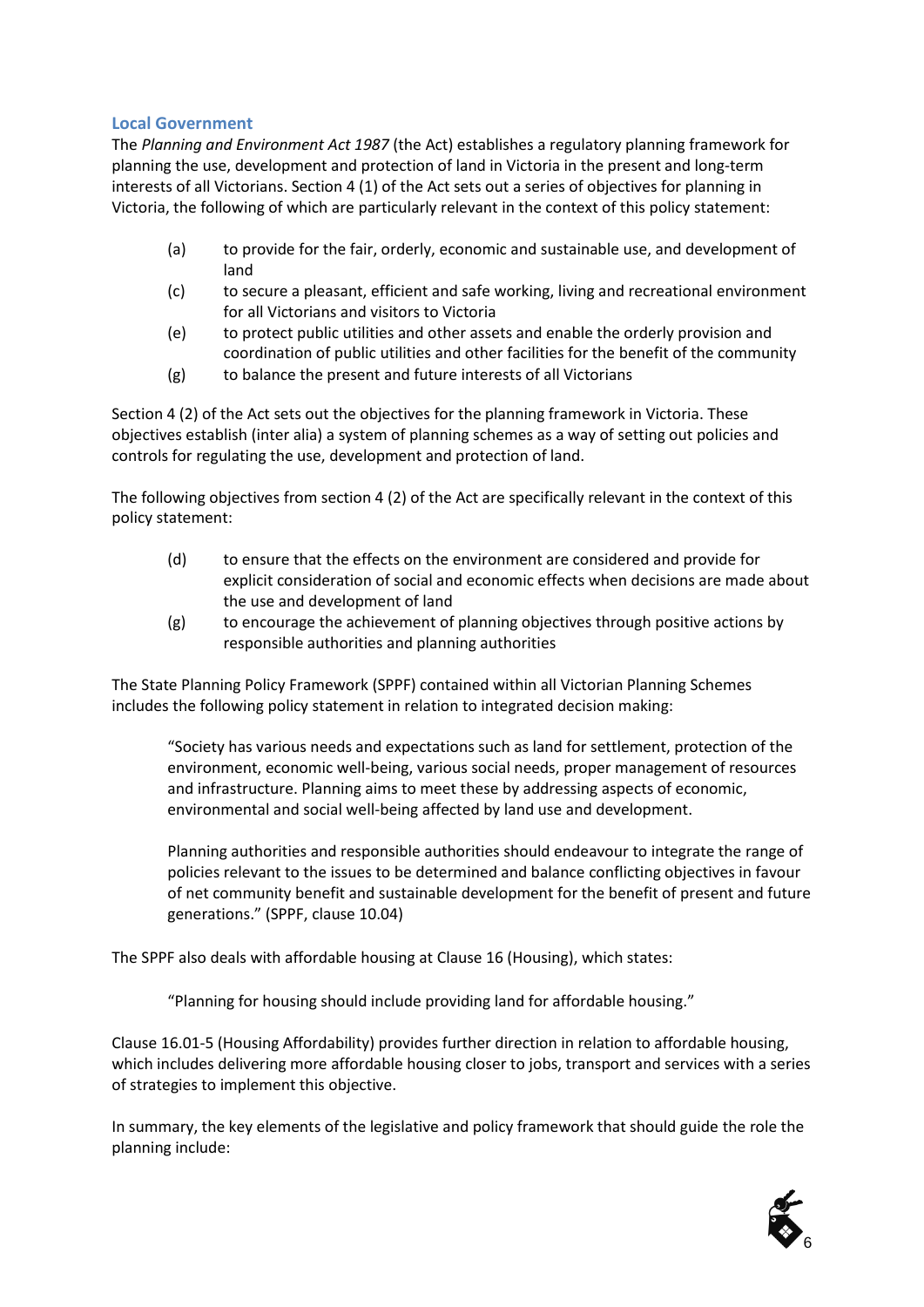#### **Local Government**

The *Planning and Environment Act 1987* (the Act) establishes a regulatory planning framework for planning the use, [development](http://www.austlii.edu.au/au/legis/vic/consol_act/paea1987254/s3.html#development) and protection of [land](http://www.austlii.edu.au/au/legis/vic/consol_act/paea1987254/s3.html#land) in Victoria in the present and long-term interests of all Victorians. Section 4 (1) of the Act sets out a series of objectives for planning in Victoria, the following of which are particularly relevant in the context of this policy statement:

- (a) to provide for the fair, orderly, economic and sustainable use, and development of land
- (c) to secure a pleasant, efficient and safe working, living and recreational environment for all Victorians and visitors to Victoria
- (e) to protect public utilities and other assets and enable the orderly provision and coordination of public utilities and other facilities for the benefit of the community
- (g) to balance the present and future interests of all Victorians

Section 4 (2) of the Act sets out the objectives for the planning framework in Victoria. These objectives establish (inter alia) a system of planning schemes as a way of setting out policies and controls for regulating the use, development and protection of land.

The following objectives from section 4 (2) of the Act are specifically relevant in the context of this policy statement:

- (d) to ensure that the effects on the environment are considered and provide for explicit consideration of social and economic effects when decisions are made about the use and development of land
- $(g)$  to encourage the achievement of planning objectives through positive actions by responsible authorities and planning authorities

The State Planning Policy Framework (SPPF) contained within all Victorian Planning Schemes includes the following policy statement in relation to integrated decision making:

"Society has various needs and expectations such as land for settlement, protection of the environment, economic well-being, various social needs, proper management of resources and infrastructure. Planning aims to meet these by addressing aspects of economic, environmental and social well-being affected by land use and development.

Planning authorities and responsible authorities should endeavour to integrate the range of policies relevant to the issues to be determined and balance conflicting objectives in favour of net community benefit and sustainable development for the benefit of present and future generations." (SPPF, clause 10.04)

The SPPF also deals with affordable housing at Clause 16 (Housing), which states:

"Planning for housing should include providing land for affordable housing."

Clause 16.01-5 (Housing Affordability) provides further direction in relation to affordable housing, which includes delivering more affordable housing closer to jobs, transport and services with a series of strategies to implement this objective.

In summary, the key elements of the legislative and policy framework that should guide the role the planning include:

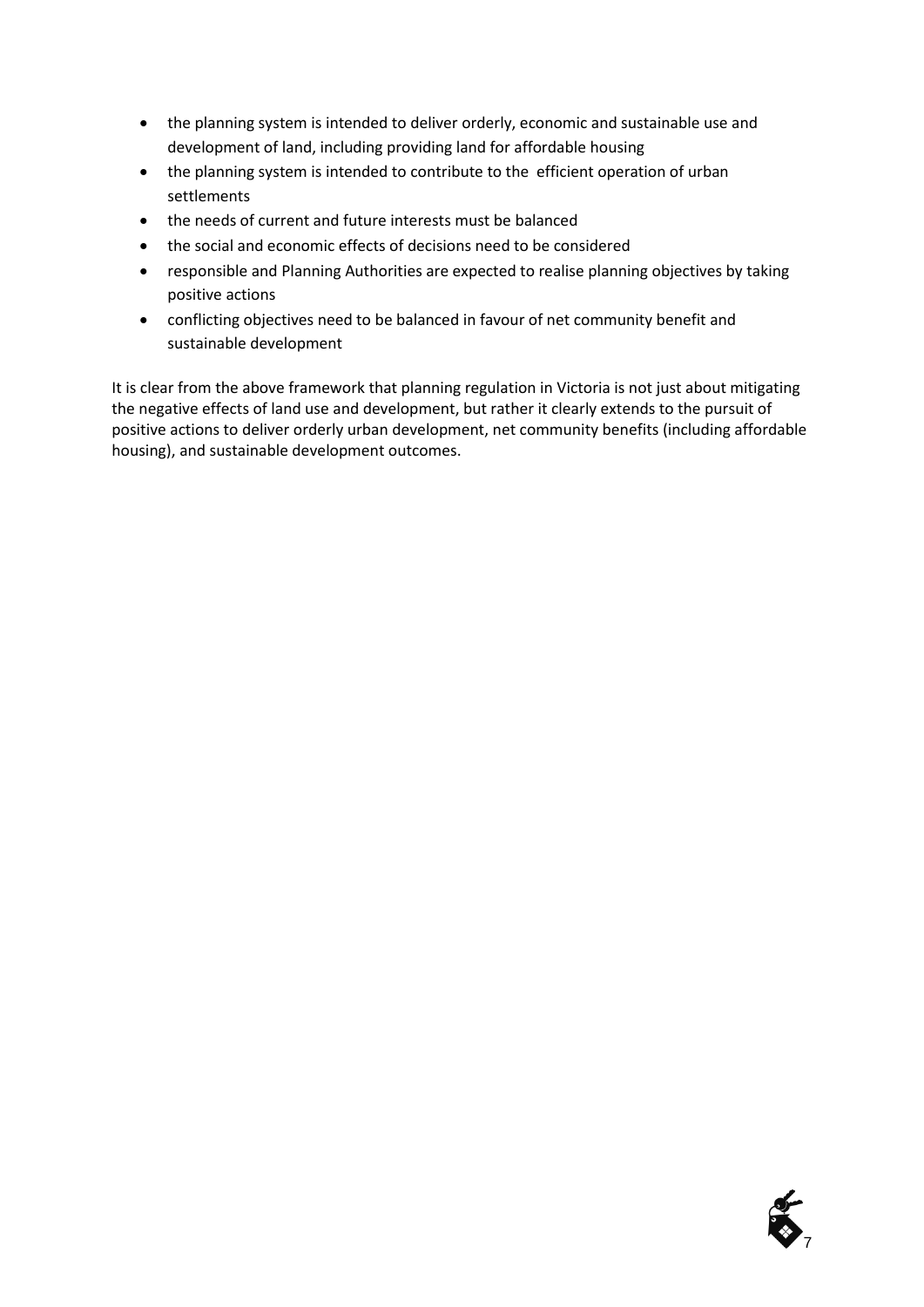- the planning system is intended to deliver orderly, economic and sustainable use and development of land, including providing land for affordable housing
- the planning system is intended to contribute to the efficient operation of urban settlements
- the needs of current and future interests must be balanced
- the social and economic effects of decisions need to be considered
- responsible and Planning Authorities are expected to realise planning objectives by taking positive actions
- conflicting objectives need to be balanced in favour of net community benefit and sustainable development

It is clear from the above framework that planning regulation in Victoria is not just about mitigating the negative effects of land use and development, but rather it clearly extends to the pursuit of positive actions to deliver orderly urban development, net community benefits (including affordable housing), and sustainable development outcomes.

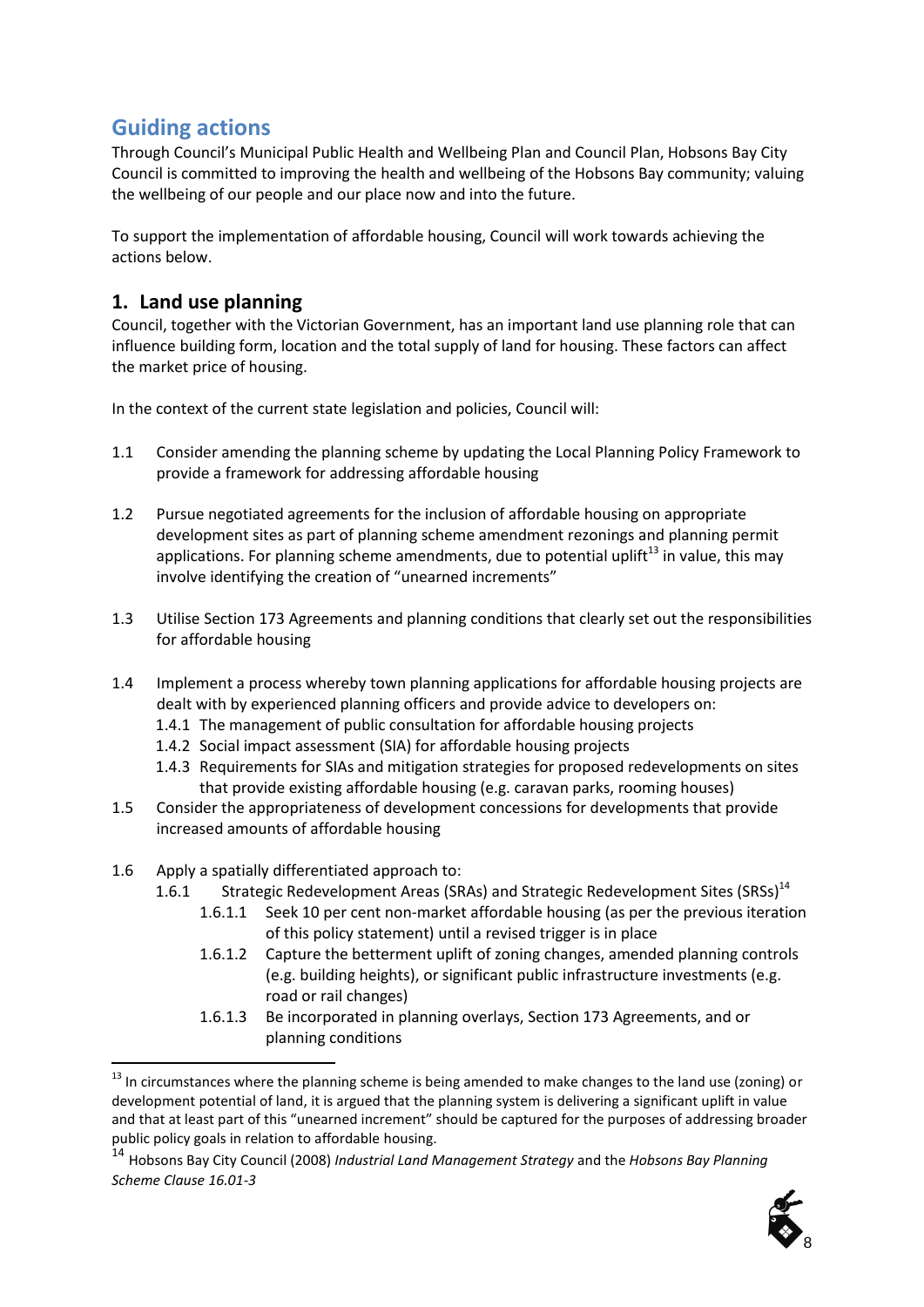## **Guiding actions**

Through Council's Municipal Public Health and Wellbeing Plan and Council Plan, Hobsons Bay City Council is committed to improving the health and wellbeing of the Hobsons Bay community; valuing the wellbeing of our people and our place now and into the future.

To support the implementation of affordable housing, Council will work towards achieving the actions below.

## **1. Land use planning**

Council, together with the Victorian Government, has an important land use planning role that can influence building form, location and the total supply of land for housing. These factors can affect the market price of housing.

In the context of the current state legislation and policies, Council will:

- 1.1 Consider amending the planning scheme by updating the Local Planning Policy Framework to provide a framework for addressing affordable housing
- 1.2 Pursue negotiated agreements for the inclusion of affordable housing on appropriate development sites as part of planning scheme amendment rezonings and planning permit applications. For planning scheme amendments, due to potential uplift<sup>13</sup> in value, this may involve identifying the creation of "unearned increments"
- 1.3 Utilise Section 173 Agreements and planning conditions that clearly set out the responsibilities for affordable housing
- 1.4 Implement a process whereby town planning applications for affordable housing projects are dealt with by experienced planning officers and provide advice to developers on:
	- 1.4.1 The management of public consultation for affordable housing projects
	- 1.4.2 Social impact assessment (SIA) for affordable housing projects
	- 1.4.3 Requirements for SIAs and mitigation strategies for proposed redevelopments on sites that provide existing affordable housing (e.g. caravan parks, rooming houses)
- 1.5 Consider the appropriateness of development concessions for developments that provide increased amounts of affordable housing
- 1.6 Apply a spatially differentiated approach to:

-

- 1.6.1 Strategic Redevelopment Areas (SRAs) and Strategic Redevelopment Sites (SRSs)<sup>14</sup>
	- 1.6.1.1 Seek 10 per cent non-market affordable housing (as per the previous iteration of this policy statement) until a revised trigger is in place
	- 1.6.1.2 Capture the betterment uplift of zoning changes, amended planning controls (e.g. building heights), or significant public infrastructure investments (e.g. road or rail changes)
	- 1.6.1.3 Be incorporated in planning overlays, Section 173 Agreements, and or planning conditions

<sup>14</sup> Hobsons Bay City Council (2008) *Industrial Land Management Strategy* and the *Hobsons Bay Planning Scheme Clause 16.01-3*



 $^{13}$  In circumstances where the planning scheme is being amended to make changes to the land use (zoning) or development potential of land, it is argued that the planning system is delivering a significant uplift in value and that at least part of this "unearned increment" should be captured for the purposes of addressing broader public policy goals in relation to affordable housing.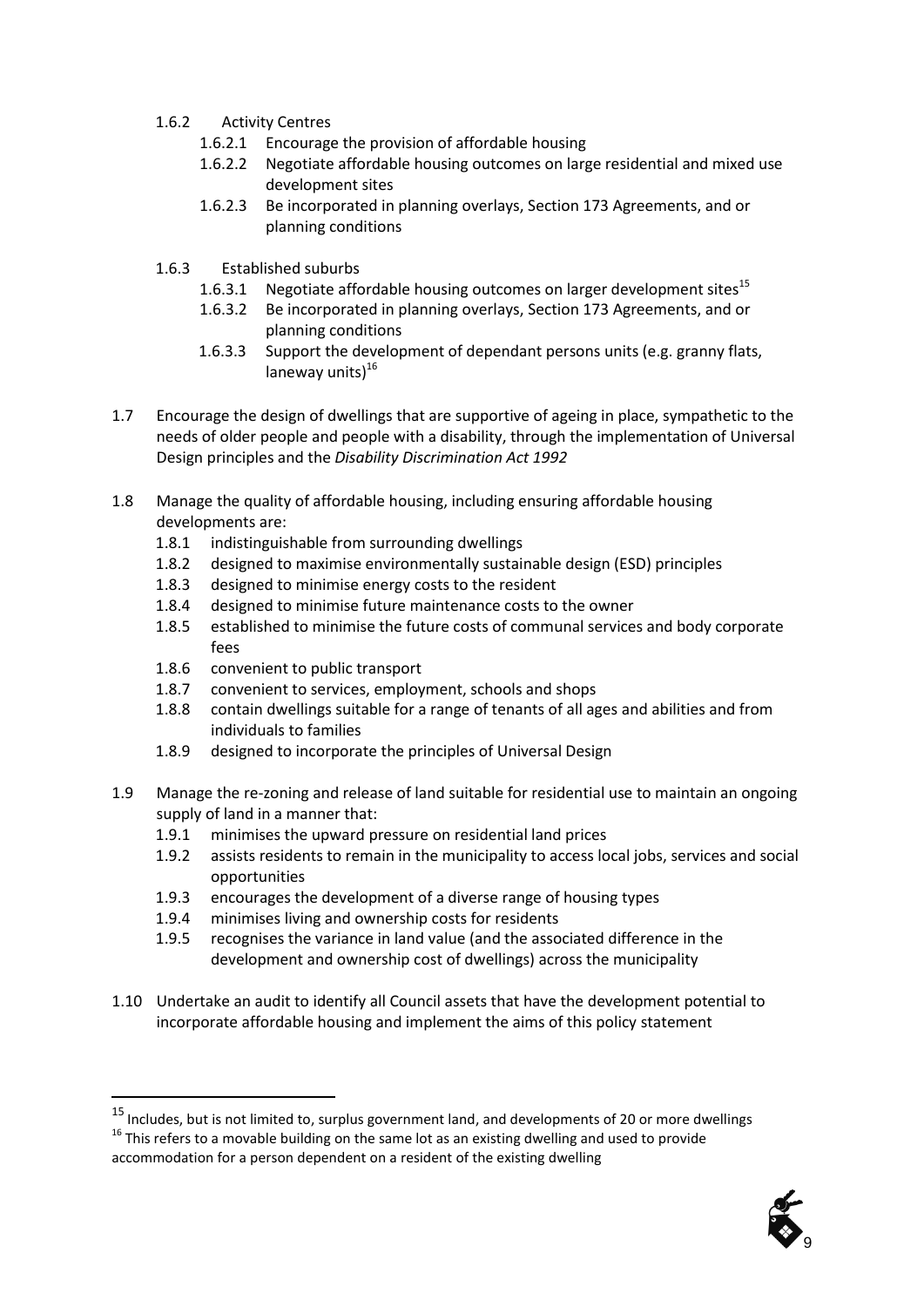- 1.6.2 Activity Centres
	- 1.6.2.1 Encourage the provision of affordable housing
	- 1.6.2.2 Negotiate affordable housing outcomes on large residential and mixed use development sites
	- 1.6.2.3 Be incorporated in planning overlays, Section 173 Agreements, and or planning conditions
- 1.6.3 Established suburbs
	- 1.6.3.1 Negotiate affordable housing outcomes on larger development sites<sup>15</sup>
	- 1.6.3.2 Be incorporated in planning overlays, Section 173 Agreements, and or planning conditions
	- 1.6.3.3 Support the development of dependant persons units (e.g. granny flats, laneway units) $16$
- 1.7 Encourage the design of dwellings that are supportive of ageing in place, sympathetic to the needs of older people and people with a disability, through the implementation of Universal Design principles and the *Disability Discrimination Act 1992*
- 1.8 Manage the quality of affordable housing, including ensuring affordable housing developments are:
	- 1.8.1 indistinguishable from surrounding dwellings
	- 1.8.2 designed to maximise environmentally sustainable design (ESD) principles
	- 1.8.3 designed to minimise energy costs to the resident
	- 1.8.4 designed to minimise future maintenance costs to the owner
	- 1.8.5 established to minimise the future costs of communal services and body corporate fees
	- 1.8.6 convenient to public transport

-

- 1.8.7 convenient to services, employment, schools and shops
- 1.8.8 contain dwellings suitable for a range of tenants of all ages and abilities and from individuals to families
- 1.8.9 designed to incorporate the principles of Universal Design
- 1.9 Manage the re-zoning and release of land suitable for residential use to maintain an ongoing supply of land in a manner that:
	- 1.9.1 minimises the upward pressure on residential land prices
	- 1.9.2 assists residents to remain in the municipality to access local jobs, services and social opportunities
	- 1.9.3 encourages the development of a diverse range of housing types
	- 1.9.4 minimises living and ownership costs for residents
	- 1.9.5 recognises the variance in land value (and the associated difference in the development and ownership cost of dwellings) across the municipality
- 1.10 Undertake an audit to identify all Council assets that have the development potential to incorporate affordable housing and implement the aims of this policy statement

 $16$  This refers to a movable building on the same lot as an existing dwelling and used to provide accommodation for a person dependent on a resident of the existing dwelling



<sup>&</sup>lt;sup>15</sup> Includes, but is not limited to, surplus government land, and developments of 20 or more dwellings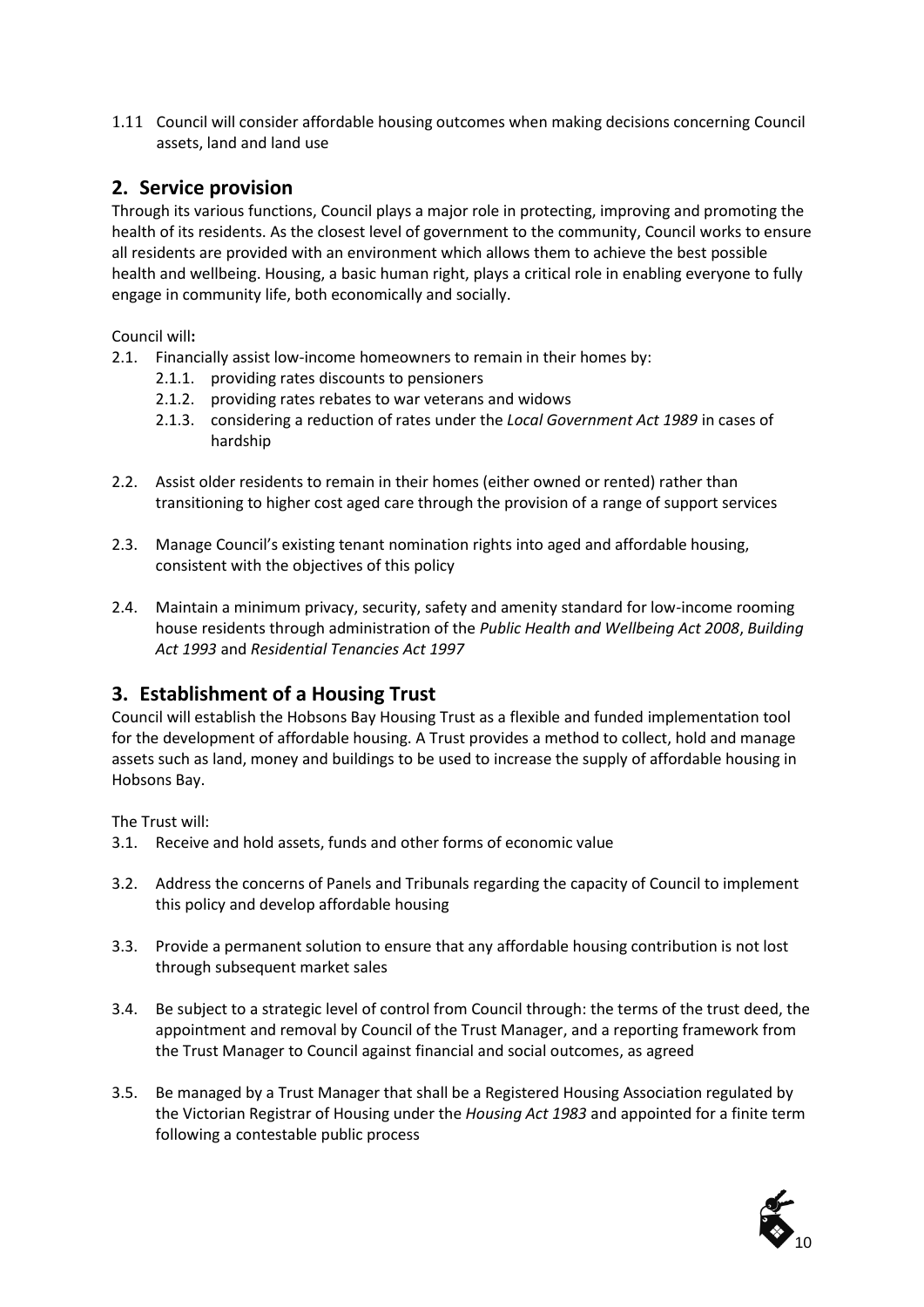1.11 Council will consider affordable housing outcomes when making decisions concerning Council assets, land and land use

## **2. Service provision**

Through its various functions, Council plays a major role in protecting, improving and promoting the health of its residents. As the closest level of government to the community, Council works to ensure all residents are provided with an environment which allows them to achieve the best possible health and wellbeing. Housing, a basic human right, plays a critical role in enabling everyone to fully engage in community life, both economically and socially.

Council will**:**

- 2.1. Financially assist low-income homeowners to remain in their homes by:
	- 2.1.1. providing rates discounts to pensioners
	- 2.1.2. providing rates rebates to war veterans and widows
	- 2.1.3. considering a reduction of rates under the *Local Government Act 1989* in cases of hardship
- 2.2. Assist older residents to remain in their homes (either owned or rented) rather than transitioning to higher cost aged care through the provision of a range of support services
- 2.3. Manage Council's existing tenant nomination rights into aged and affordable housing, consistent with the objectives of this policy
- 2.4. Maintain a minimum privacy, security, safety and amenity standard for low-income rooming house residents through administration of the *Public Health and Wellbeing Act 2008*, *Building Act 1993* and *Residential Tenancies Act 1997*

## **3. Establishment of a Housing Trust**

Council will establish the Hobsons Bay Housing Trust as a flexible and funded implementation tool for the development of affordable housing. A Trust provides a method to collect, hold and manage assets such as land, money and buildings to be used to increase the supply of affordable housing in Hobsons Bay.

The Trust will:

- 3.1. Receive and hold assets, funds and other forms of economic value
- 3.2. Address the concerns of Panels and Tribunals regarding the capacity of Council to implement this policy and develop affordable housing
- 3.3. Provide a permanent solution to ensure that any affordable housing contribution is not lost through subsequent market sales
- 3.4. Be subject to a strategic level of control from Council through: the terms of the trust deed, the appointment and removal by Council of the Trust Manager, and a reporting framework from the Trust Manager to Council against financial and social outcomes, as agreed
- 3.5. Be managed by a Trust Manager that shall be a Registered Housing Association regulated by the Victorian Registrar of Housing under the *Housing Act 1983* and appointed for a finite term following a contestable public process

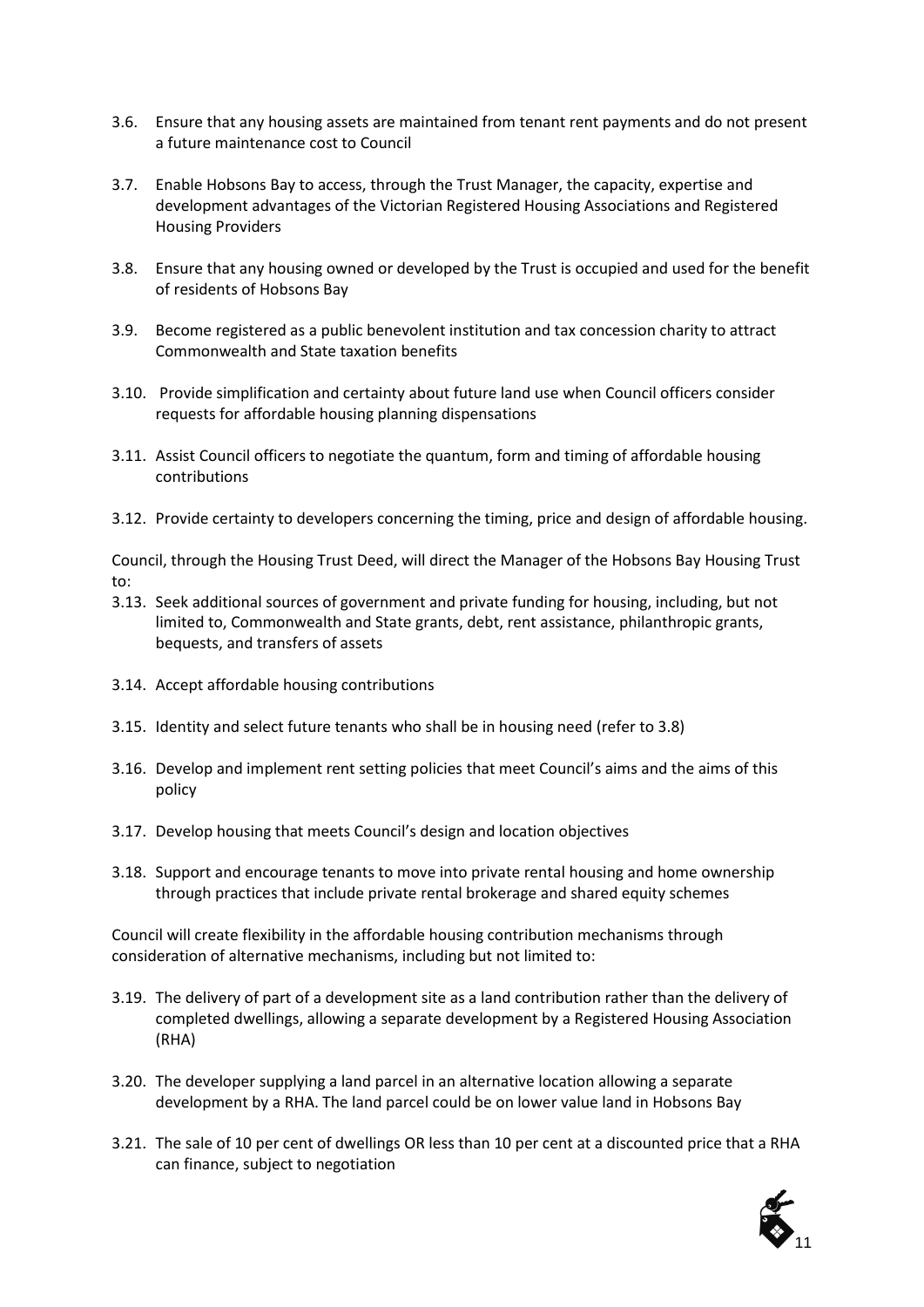- 3.6. Ensure that any housing assets are maintained from tenant rent payments and do not present a future maintenance cost to Council
- 3.7. Enable Hobsons Bay to access, through the Trust Manager, the capacity, expertise and development advantages of the Victorian Registered Housing Associations and Registered Housing Providers
- 3.8. Ensure that any housing owned or developed by the Trust is occupied and used for the benefit of residents of Hobsons Bay
- 3.9. Become registered as a public benevolent institution and tax concession charity to attract Commonwealth and State taxation benefits
- 3.10. Provide simplification and certainty about future land use when Council officers consider requests for affordable housing planning dispensations
- 3.11. Assist Council officers to negotiate the quantum, form and timing of affordable housing contributions
- 3.12. Provide certainty to developers concerning the timing, price and design of affordable housing.

Council, through the Housing Trust Deed, will direct the Manager of the Hobsons Bay Housing Trust to:

- 3.13. Seek additional sources of government and private funding for housing, including, but not limited to, Commonwealth and State grants, debt, rent assistance, philanthropic grants, bequests, and transfers of assets
- 3.14. Accept affordable housing contributions
- 3.15. Identity and select future tenants who shall be in housing need (refer to 3.8)
- 3.16. Develop and implement rent setting policies that meet Council's aims and the aims of this policy
- 3.17. Develop housing that meets Council's design and location objectives
- 3.18. Support and encourage tenants to move into private rental housing and home ownership through practices that include private rental brokerage and shared equity schemes

Council will create flexibility in the affordable housing contribution mechanisms through consideration of alternative mechanisms, including but not limited to:

- 3.19. The delivery of part of a development site as a land contribution rather than the delivery of completed dwellings, allowing a separate development by a Registered Housing Association (RHA)
- 3.20. The developer supplying a land parcel in an alternative location allowing a separate development by a RHA. The land parcel could be on lower value land in Hobsons Bay
- 3.21. The sale of 10 per cent of dwellings OR less than 10 per cent at a discounted price that a RHA can finance, subject to negotiation

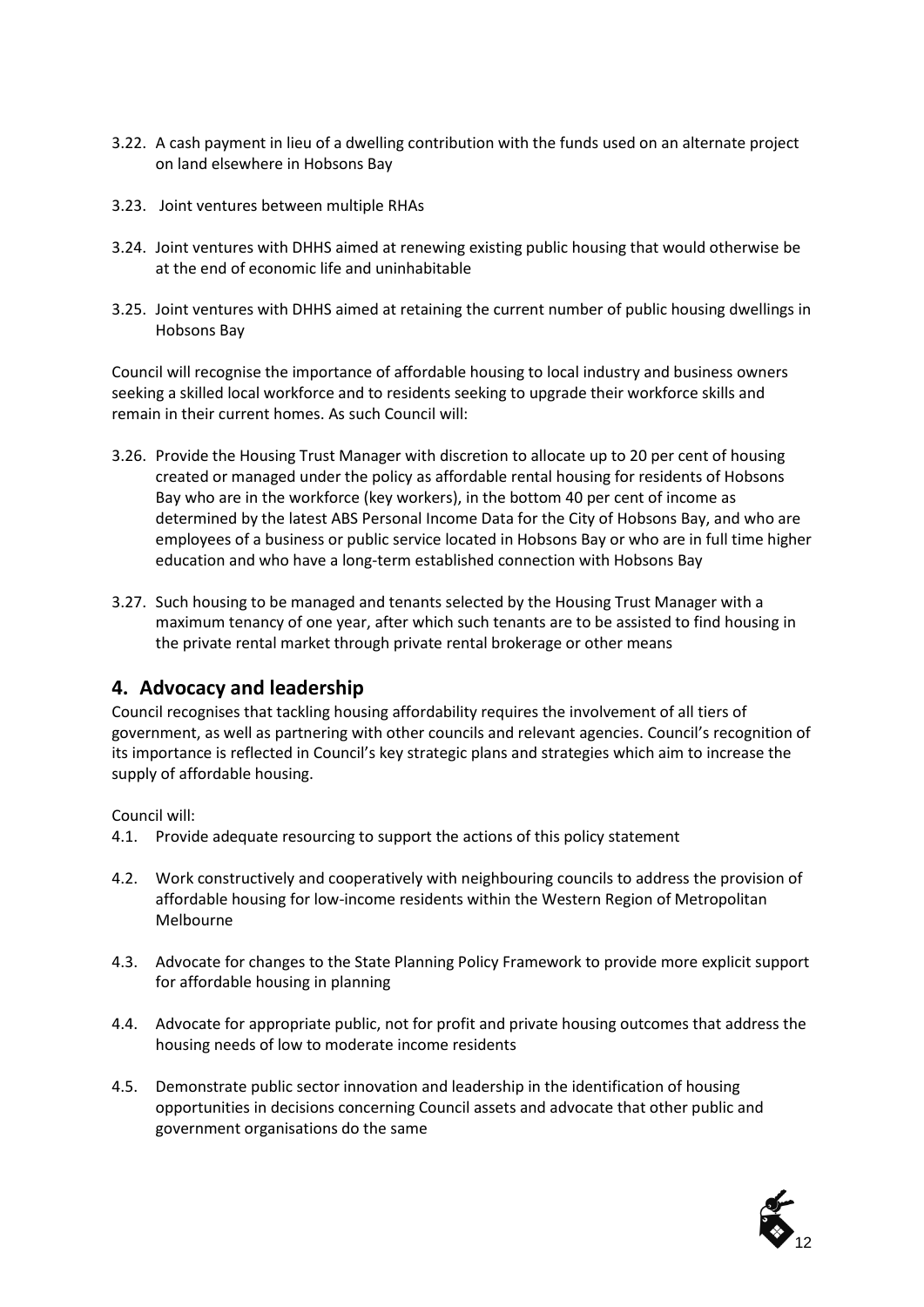- 3.22. A cash payment in lieu of a dwelling contribution with the funds used on an alternate project on land elsewhere in Hobsons Bay
- 3.23. Joint ventures between multiple RHAs
- 3.24. Joint ventures with DHHS aimed at renewing existing public housing that would otherwise be at the end of economic life and uninhabitable
- 3.25. Joint ventures with DHHS aimed at retaining the current number of public housing dwellings in Hobsons Bay

Council will recognise the importance of affordable housing to local industry and business owners seeking a skilled local workforce and to residents seeking to upgrade their workforce skills and remain in their current homes. As such Council will:

- 3.26. Provide the Housing Trust Manager with discretion to allocate up to 20 per cent of housing created or managed under the policy as affordable rental housing for residents of Hobsons Bay who are in the workforce (key workers), in the bottom 40 per cent of income as determined by the latest ABS Personal Income Data for the City of Hobsons Bay, and who are employees of a business or public service located in Hobsons Bay or who are in full time higher education and who have a long-term established connection with Hobsons Bay
- 3.27. Such housing to be managed and tenants selected by the Housing Trust Manager with a maximum tenancy of one year, after which such tenants are to be assisted to find housing in the private rental market through private rental brokerage or other means

### **4. Advocacy and leadership**

Council recognises that tackling housing affordability requires the involvement of all tiers of government, as well as partnering with other councils and relevant agencies. Council's recognition of its importance is reflected in Council's key strategic plans and strategies which aim to increase the supply of affordable housing.

#### Council will:

- 4.1. Provide adequate resourcing to support the actions of this policy statement
- 4.2. Work constructively and cooperatively with neighbouring councils to address the provision of affordable housing for low-income residents within the Western Region of Metropolitan Melbourne
- 4.3. Advocate for changes to the State Planning Policy Framework to provide more explicit support for affordable housing in planning
- 4.4. Advocate for appropriate public, not for profit and private housing outcomes that address the housing needs of low to moderate income residents
- 4.5. Demonstrate public sector innovation and leadership in the identification of housing opportunities in decisions concerning Council assets and advocate that other public and government organisations do the same